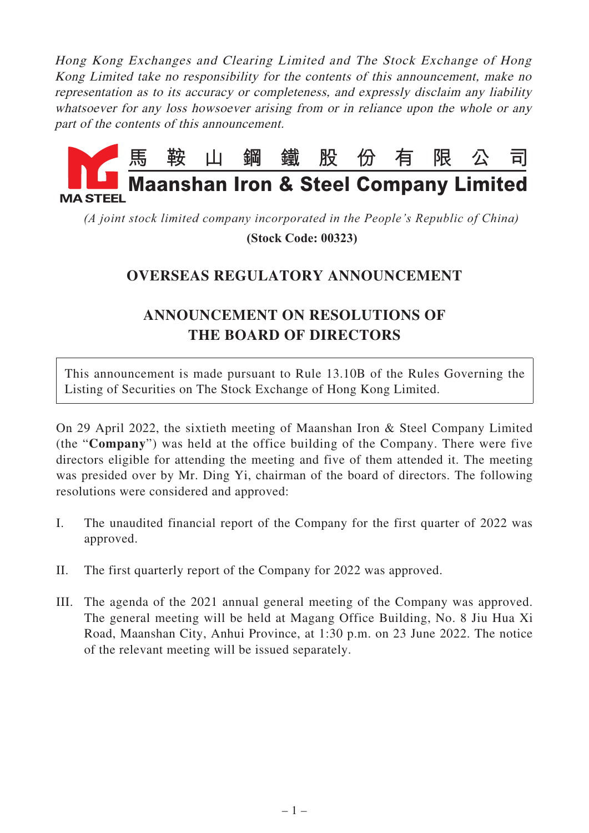Hong Kong Exchanges and Clearing Limited and The Stock Exchange of Hong Kong Limited take no responsibility for the contents of this announcement, make no representation as to its accuracy or completeness, and expressly disclaim any liability whatsoever for any loss howsoever arising from or in reliance upon the whole or any part of the contents of this announcement.



*(A joint stock limited company incorporated in the People's Republic of China)*  **(Stock Code: 00323)**

## **OVERSEAS REGULATORY ANNOUNCEMENT**

## **ANNOUNCEMENT ON RESOLUTIONS OF THE BOARD OF DIRECTORS**

This announcement is made pursuant to Rule 13.10B of the Rules Governing the Listing of Securities on The Stock Exchange of Hong Kong Limited.

On 29 April 2022, the sixtieth meeting of Maanshan Iron & Steel Company Limited (the "**Company**") was held at the office building of the Company. There were five directors eligible for attending the meeting and five of them attended it. The meeting was presided over by Mr. Ding Yi, chairman of the board of directors. The following resolutions were considered and approved:

- I. The unaudited financial report of the Company for the first quarter of 2022 was approved.
- II. The first quarterly report of the Company for 2022 was approved.
- III. The agenda of the 2021 annual general meeting of the Company was approved. The general meeting will be held at Magang Office Building, No. 8 Jiu Hua Xi Road, Maanshan City, Anhui Province, at 1:30 p.m. on 23 June 2022. The notice of the relevant meeting will be issued separately.